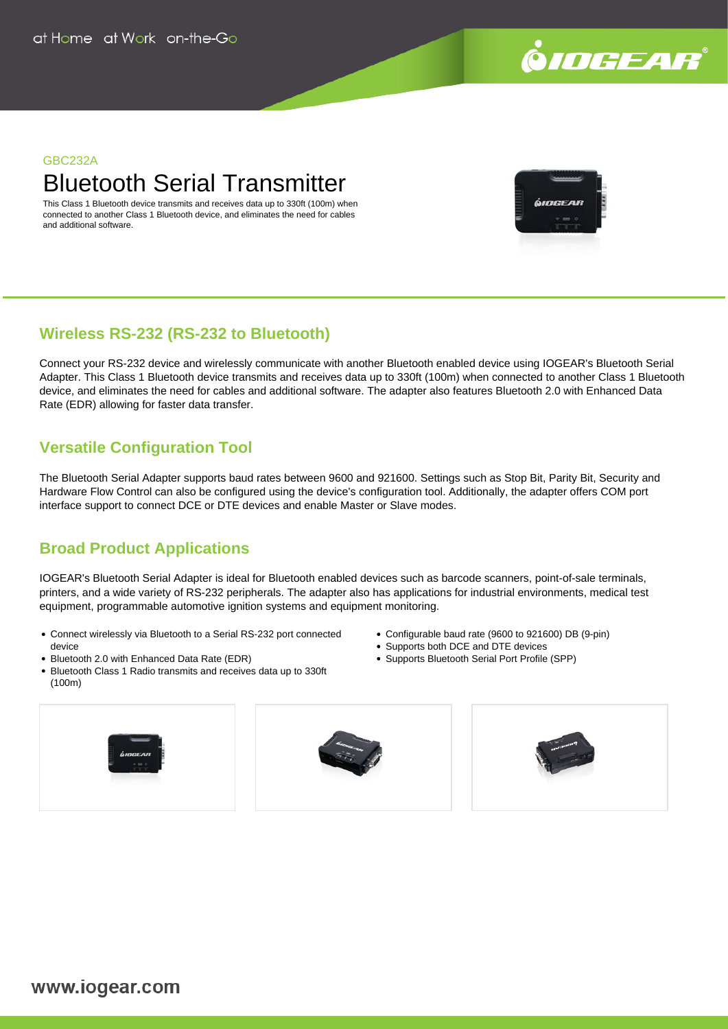

#### GBC232A

# Bluetooth Serial Transmitter

This Class 1 Bluetooth device transmits and receives data up to 330ft (100m) when connected to another Class 1 Bluetooth device, and eliminates the need for cables and additional software.



### **Wireless RS-232 (RS-232 to Bluetooth)**

Connect your RS-232 device and wirelessly communicate with another Bluetooth enabled device using IOGEAR's Bluetooth Serial Adapter. This Class 1 Bluetooth device transmits and receives data up to 330ft (100m) when connected to another Class 1 Bluetooth device, and eliminates the need for cables and additional software. The adapter also features Bluetooth 2.0 with Enhanced Data Rate (EDR) allowing for faster data transfer.

## **Versatile Configuration Tool**

The Bluetooth Serial Adapter supports baud rates between 9600 and 921600. Settings such as Stop Bit, Parity Bit, Security and Hardware Flow Control can also be configured using the device's configuration tool. Additionally, the adapter offers COM port interface support to connect DCE or DTE devices and enable Master or Slave modes.

## **Broad Product Applications**

IOGEAR's Bluetooth Serial Adapter is ideal for Bluetooth enabled devices such as barcode scanners, point-of-sale terminals, printers, and a wide variety of RS-232 peripherals. The adapter also has applications for industrial environments, medical test equipment, programmable automotive ignition systems and equipment monitoring.

- Connect wirelessly via Bluetooth to a Serial RS-232 port connected device
- Bluetooth 2.0 with Enhanced Data Rate (EDR)
- Bluetooth Class 1 Radio transmits and receives data up to 330ft (100m)



- Configurable baud rate (9600 to 921600) DB (9-pin)
- Supports both DCE and DTE devices
- Supports Bluetooth Serial Port Profile (SPP)

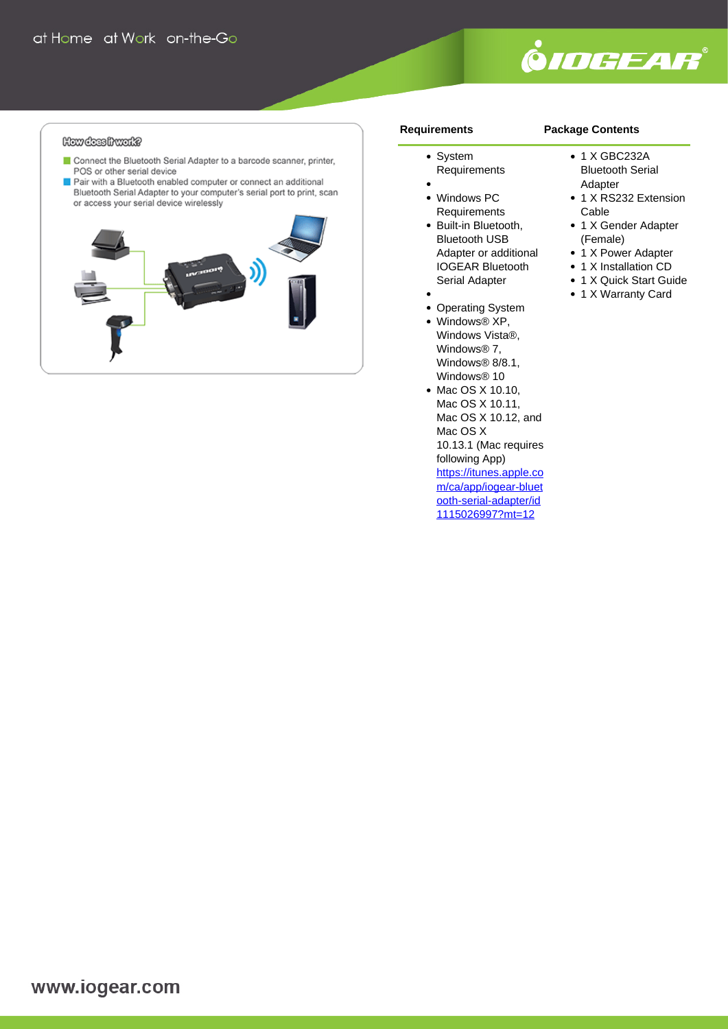

#### How does hwatt?

- Connect the Bluetooth Serial Adapter to a barcode scanner, printer, POS or other serial device
- Pair with a Bluetooth enabled computer or connect an additional Bluetooth Serial Adapter to your computer's serial port to print, scan or access your serial device wirelessly



#### **Requirements**

#### **Package Contents**

- System
- Requirements
- Windows PC Requirements
- Built-in Bluetooth, Bluetooth USB Adapter or additional IOGEAR Bluetooth Serial Adapter
- 
- Operating System  $\bullet$
- Windows® XP, Windows Vista®, Windows® 7, Windows<sup>®</sup> 8/8.1, Windows® 10
- Mac OS X 10.10, Mac OS X 10.11, Mac OS X 10.12, and Mac OS X 10.13.1 (Mac requires following App) [https://itunes.apple.co](https://itunes.apple.com/ca/app/iogear-bluetooth-serial-adapter/id1115026997?mt=12) [m/ca/app/iogear-bluet](https://itunes.apple.com/ca/app/iogear-bluetooth-serial-adapter/id1115026997?mt=12) [ooth-serial-adapter/id](https://itunes.apple.com/ca/app/iogear-bluetooth-serial-adapter/id1115026997?mt=12) [1115026997?mt=12](https://itunes.apple.com/ca/app/iogear-bluetooth-serial-adapter/id1115026997?mt=12)
- 1 X GBC232A
- Bluetooth Serial Adapter
- 1 X RS232 Extension Cable
- 1 X Gender Adapter (Female)
- 1 X Power Adapter
- 1 X Installation CD
- 1 X Quick Start Guide
- 1 X Warranty Card